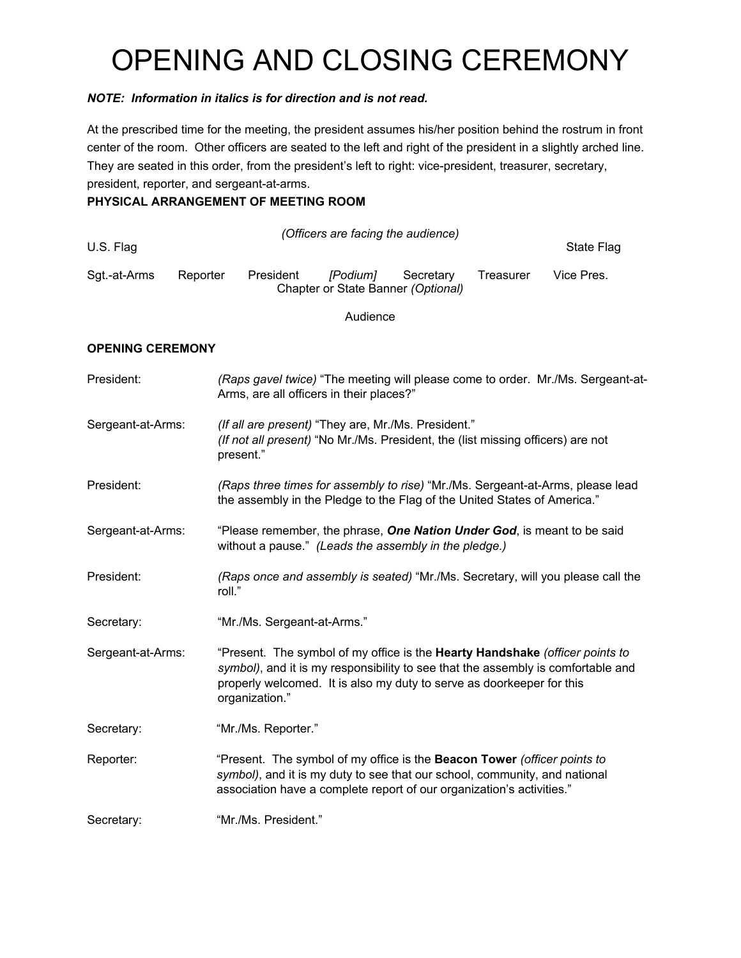# OPENING AND CLOSING CEREMONY

#### *NOTE: Information in italics is for direction and is not read.*

At the prescribed time for the meeting, the president assumes his/her position behind the rostrum in front center of the room. Other officers are seated to the left and right of the president in a slightly arched line. They are seated in this order, from the president's left to right: vice-president, treasurer, secretary, president, reporter, and sergeant-at-arms.

## **PHYSICAL ARRANGEMENT OF MEETING ROOM**

| U.S. Flag    |          |           | (Officers are facing the audience)             |           |           | State Flag |
|--------------|----------|-----------|------------------------------------------------|-----------|-----------|------------|
| Sgt.-at-Arms | Reporter | President | [Podium]<br>Chapter or State Banner (Optional) | Secretary | Treasurer | Vice Pres. |

Audience

#### **OPENING CEREMONY**

| President:        | (Raps gavel twice) "The meeting will please come to order. Mr./Ms. Sergeant-at-<br>Arms, are all officers in their places?"                                                                                                                                 |
|-------------------|-------------------------------------------------------------------------------------------------------------------------------------------------------------------------------------------------------------------------------------------------------------|
| Sergeant-at-Arms: | (If all are present) "They are, Mr./Ms. President."<br>(If not all present) "No Mr./Ms. President, the (list missing officers) are not<br>present."                                                                                                         |
| President:        | (Raps three times for assembly to rise) "Mr./Ms. Sergeant-at-Arms, please lead<br>the assembly in the Pledge to the Flag of the United States of America."                                                                                                  |
| Sergeant-at-Arms: | "Please remember, the phrase, One Nation Under God, is meant to be said<br>without a pause." (Leads the assembly in the pledge.)                                                                                                                            |
| President:        | (Raps once and assembly is seated) "Mr./Ms. Secretary, will you please call the<br>roll."                                                                                                                                                                   |
| Secretary:        | "Mr./Ms. Sergeant-at-Arms."                                                                                                                                                                                                                                 |
| Sergeant-at-Arms: | "Present. The symbol of my office is the Hearty Handshake (officer points to<br>symbol), and it is my responsibility to see that the assembly is comfortable and<br>properly welcomed. It is also my duty to serve as doorkeeper for this<br>organization." |
| Secretary:        | "Mr./Ms. Reporter."                                                                                                                                                                                                                                         |
| Reporter:         | "Present. The symbol of my office is the Beacon Tower (officer points to<br>symbol), and it is my duty to see that our school, community, and national<br>association have a complete report of our organization's activities."                             |
| Secretary:        | "Mr./Ms. President."                                                                                                                                                                                                                                        |
|                   |                                                                                                                                                                                                                                                             |